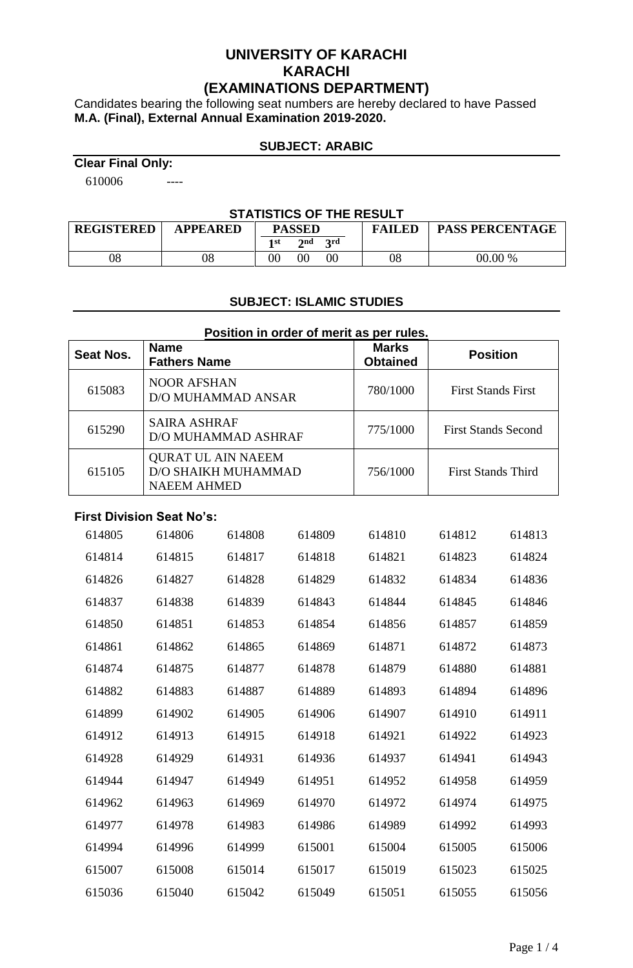# **UNIVERSITY OF KARACHI KARACHI (EXAMINATIONS DEPARTMENT)**

Candidates bearing the following seat numbers are hereby declared to have Passed **M.A. (Final), External Annual Examination 2019-2020.**

#### **SUBJECT: ARABIC**

**Clear Final Only:**

610006 ----

#### **STATISTICS OF THE RESULT**

| <b>REGISTERED</b> | <b>APPEARED</b> | <b>PASSED</b> |     |            | <b>FAILED</b> | <b>PASS PERCENTAGE</b> |
|-------------------|-----------------|---------------|-----|------------|---------------|------------------------|
|                   |                 | 1 st          | 2nd | <b>2rd</b> |               |                        |
| 08                | 08              |               |     | $00\,$     | 08            | 00.00 %                |

### **SUBJECT: ISLAMIC STUDIES**

| Position in order of merit as per rules. |                                                                               |                                 |                            |  |  |  |
|------------------------------------------|-------------------------------------------------------------------------------|---------------------------------|----------------------------|--|--|--|
| Seat Nos.                                | <b>Name</b><br><b>Fathers Name</b>                                            | <b>Marks</b><br><b>Obtained</b> | <b>Position</b>            |  |  |  |
| 615083                                   | <b>NOOR AFSHAN</b><br>D/O MUHAMMAD ANSAR                                      | 780/1000                        | <b>First Stands First</b>  |  |  |  |
| 615290                                   | <b>SAIRA ASHRAF</b><br>D/O MUHAMMAD ASHRAF                                    | 775/1000                        | <b>First Stands Second</b> |  |  |  |
| 615105                                   | <b>QURAT UL AIN NAEEM</b><br><b>D/O SHAIKH MUHAMMAD</b><br><b>NAEEM AHMED</b> | 756/1000                        | <b>First Stands Third</b>  |  |  |  |

#### **First Division Seat No's:**

| 614805 | 614806 | 614808 | 614809 | 614810 | 614812 | 614813 |
|--------|--------|--------|--------|--------|--------|--------|
| 614814 | 614815 | 614817 | 614818 | 614821 | 614823 | 614824 |
| 614826 | 614827 | 614828 | 614829 | 614832 | 614834 | 614836 |
| 614837 | 614838 | 614839 | 614843 | 614844 | 614845 | 614846 |
| 614850 | 614851 | 614853 | 614854 | 614856 | 614857 | 614859 |
| 614861 | 614862 | 614865 | 614869 | 614871 | 614872 | 614873 |
| 614874 | 614875 | 614877 | 614878 | 614879 | 614880 | 614881 |
| 614882 | 614883 | 614887 | 614889 | 614893 | 614894 | 614896 |
| 614899 | 614902 | 614905 | 614906 | 614907 | 614910 | 614911 |
| 614912 | 614913 | 614915 | 614918 | 614921 | 614922 | 614923 |
| 614928 | 614929 | 614931 | 614936 | 614937 | 614941 | 614943 |
| 614944 | 614947 | 614949 | 614951 | 614952 | 614958 | 614959 |
| 614962 | 614963 | 614969 | 614970 | 614972 | 614974 | 614975 |
| 614977 | 614978 | 614983 | 614986 | 614989 | 614992 | 614993 |
| 614994 | 614996 | 614999 | 615001 | 615004 | 615005 | 615006 |
| 615007 | 615008 | 615014 | 615017 | 615019 | 615023 | 615025 |
| 615036 | 615040 | 615042 | 615049 | 615051 | 615055 | 615056 |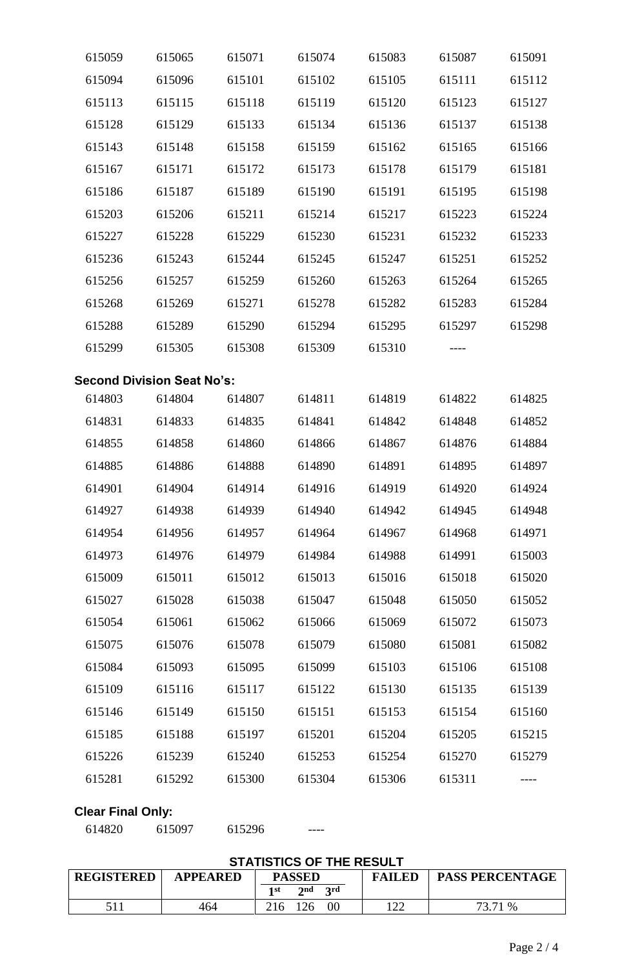| 615059                   | 615065                            | 615071 | 615074 | 615083 | 615087 | 615091 |
|--------------------------|-----------------------------------|--------|--------|--------|--------|--------|
| 615094                   | 615096                            | 615101 | 615102 | 615105 | 615111 | 615112 |
| 615113                   | 615115                            | 615118 | 615119 | 615120 | 615123 | 615127 |
| 615128                   | 615129                            | 615133 | 615134 | 615136 | 615137 | 615138 |
| 615143                   | 615148                            | 615158 | 615159 | 615162 | 615165 | 615166 |
| 615167                   | 615171                            | 615172 | 615173 | 615178 | 615179 | 615181 |
| 615186                   | 615187                            | 615189 | 615190 | 615191 | 615195 | 615198 |
| 615203                   | 615206                            | 615211 | 615214 | 615217 | 615223 | 615224 |
| 615227                   | 615228                            | 615229 | 615230 | 615231 | 615232 | 615233 |
| 615236                   | 615243                            | 615244 | 615245 | 615247 | 615251 | 615252 |
| 615256                   | 615257                            | 615259 | 615260 | 615263 | 615264 | 615265 |
| 615268                   | 615269                            | 615271 | 615278 | 615282 | 615283 | 615284 |
| 615288                   | 615289                            | 615290 | 615294 | 615295 | 615297 | 615298 |
| 615299                   | 615305                            | 615308 | 615309 | 615310 |        |        |
|                          | <b>Second Division Seat No's:</b> |        |        |        |        |        |
| 614803                   | 614804                            | 614807 | 614811 | 614819 | 614822 | 614825 |
| 614831                   | 614833                            | 614835 | 614841 | 614842 | 614848 | 614852 |
| 614855                   | 614858                            | 614860 | 614866 | 614867 | 614876 | 614884 |
| 614885                   | 614886                            | 614888 | 614890 | 614891 | 614895 | 614897 |
| 614901                   | 614904                            | 614914 | 614916 | 614919 | 614920 | 614924 |
| 614927                   | 614938                            | 614939 | 614940 | 614942 | 614945 | 614948 |
| 614954                   | 614956                            | 614957 | 614964 | 614967 | 614968 | 614971 |
| 614973                   | 614976                            | 614979 | 614984 | 614988 | 614991 | 615003 |
| 615009                   | 615011                            | 615012 | 615013 | 615016 | 615018 | 615020 |
| 615027                   | 615028                            | 615038 | 615047 | 615048 | 615050 | 615052 |
| 615054                   | 615061                            | 615062 | 615066 | 615069 | 615072 | 615073 |
| 615075                   | 615076                            | 615078 | 615079 | 615080 | 615081 | 615082 |
| 615084                   | 615093                            | 615095 | 615099 | 615103 | 615106 | 615108 |
| 615109                   | 615116                            | 615117 | 615122 | 615130 | 615135 | 615139 |
| 615146                   | 615149                            | 615150 | 615151 | 615153 | 615154 | 615160 |
| 615185                   | 615188                            | 615197 | 615201 | 615204 | 615205 | 615215 |
| 615226                   | 615239                            | 615240 | 615253 | 615254 | 615270 | 615279 |
| 615281                   | 615292                            | 615300 | 615304 | 615306 | 615311 |        |
| <b>Clear Final Only:</b> |                                   |        |        |        |        |        |

615097 615296 ----

# **STATISTICS OF THE RESULT**

| <b>REGISTERED</b> | <b>APPEARED</b> | <b>PASSED</b> |                          | <b>FAILED</b> | <b>PASS PERCENTAGE</b> |         |
|-------------------|-----------------|---------------|--------------------------|---------------|------------------------|---------|
|                   |                 | 1 st          | $\boldsymbol{\gamma}$ nd | 2rd           |                        |         |
| 511               | 464             | 216           | 126                      | 00            | 122                    | 73.71 % |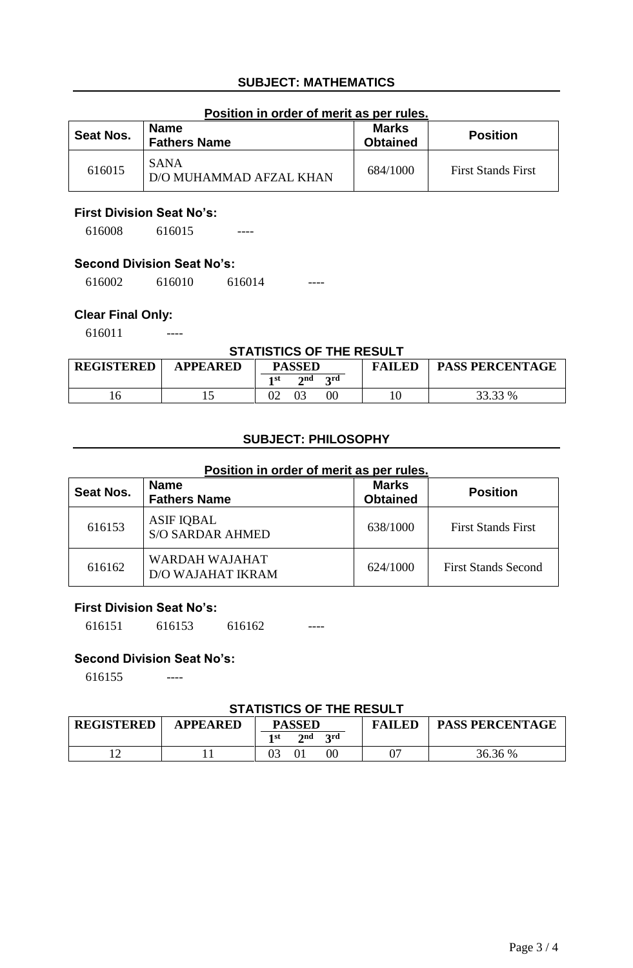# **SUBJECT: MATHEMATICS**

#### **Position in order of merit as per rules.**

| Seat Nos. | <b>Name</b><br><b>Fathers Name</b>     | <b>Marks</b><br><b>Obtained</b> | <b>Position</b>           |
|-----------|----------------------------------------|---------------------------------|---------------------------|
| 616015    | <b>SANA</b><br>D/O MUHAMMAD AFZAL KHAN | 684/1000                        | <b>First Stands First</b> |

#### **First Division Seat No's:**

616008 616015 ----

# **Second Division Seat No's:**

616002 616010 616014 ----

### **Clear Final Only:**

616011 ----

#### **STATISTICS OF THE RESULT**

| <b>REGISTERED</b> | APPEARED | <b>PASSED</b>             | <b>FAILED</b> | <b>PASS PERCENTAGE</b> |
|-------------------|----------|---------------------------|---------------|------------------------|
|                   |          | 2nd<br><b>2rd</b><br>1 st |               |                        |
|                   |          | $00\,$                    |               | 33.33 %                |

# **SUBJECT: PHILOSOPHY**

#### **Position in order of merit as per rules.**

| Seat Nos. | <b>Name</b><br><b>Fathers Name</b>           | <b>Marks</b><br><b>Obtained</b> | <b>Position</b>            |
|-----------|----------------------------------------------|---------------------------------|----------------------------|
| 616153    | <b>ASIF IQBAL</b><br><b>S/O SARDAR AHMED</b> | 638/1000                        | <b>First Stands First</b>  |
| 616162    | WARDAH WAJAHAT<br>D/O WAJAHAT IKRAM          | 624/1000                        | <b>First Stands Second</b> |

### **First Division Seat No's:**

616151 616153 616162 ----

### **Second Division Seat No's:**

616155 ----

#### **STATISTICS OF THE RESULT**

| <b>REGISTERED</b> | <b>APPEARED</b> | <b>PASSED</b>                           | <b>FAILED</b> | <b>PASS PERCENTAGE</b> |  |  |
|-------------------|-----------------|-----------------------------------------|---------------|------------------------|--|--|
|                   |                 | 2rd<br>$\boldsymbol{\gamma}$ nd<br>1 st |               |                        |  |  |
|                   |                 | 00                                      |               | 36.36 %                |  |  |